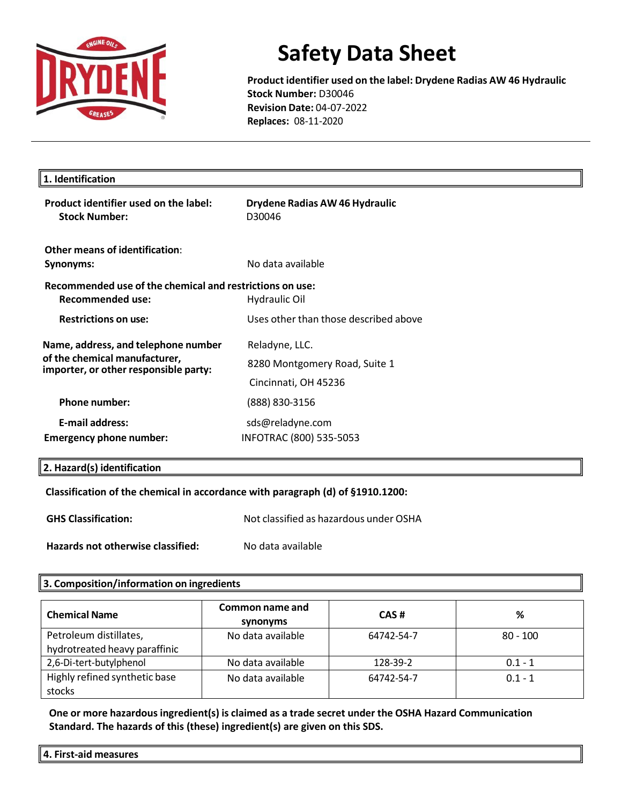

**Product identifier used on the label: Drydene Radias AW 46 Hydraulic Stock Number:** D30046 **Revision Date:** 04-07-2022 **Replaces:** 08-11-2020

| 1. Identification                                                                   |                                          |  |
|-------------------------------------------------------------------------------------|------------------------------------------|--|
| Product identifier used on the label:<br><b>Stock Number:</b>                       | Drydene Radias AW 46 Hydraulic<br>D30046 |  |
| <b>Other means of identification:</b>                                               |                                          |  |
| Synonyms:                                                                           | No data available                        |  |
| Recommended use of the chemical and restrictions on use:<br><b>Recommended use:</b> | Hydraulic Oil                            |  |
| <b>Restrictions on use:</b>                                                         | Uses other than those described above    |  |
| Name, address, and telephone number                                                 | Reladyne, LLC.                           |  |
| of the chemical manufacturer,<br>importer, or other responsible party:              | 8280 Montgomery Road, Suite 1            |  |
|                                                                                     | Cincinnati, OH 45236                     |  |
| <b>Phone number:</b>                                                                | (888) 830-3156                           |  |
| <b>E-mail address:</b>                                                              | sds@reladyne.com                         |  |
| <b>Emergency phone number:</b>                                                      | INFOTRAC (800) 535-5053                  |  |

## **2. Hazard(s) identification**

## **Classification of the chemical in accordance with paragraph (d) of §1910.1200:**

**GHS Classification:** Not classified as hazardous under OSHA

**Hazards not otherwise classified:** No data available

### **3. Composition/information on ingredients**

| <b>Chemical Name</b>          | Common name and<br>synonyms | CAS#       | %          |
|-------------------------------|-----------------------------|------------|------------|
| Petroleum distillates,        | No data available           | 64742-54-7 | $80 - 100$ |
| hydrotreated heavy paraffinic |                             |            |            |
| 2,6-Di-tert-butylphenol       | No data available           | 128-39-2   | $0.1 - 1$  |
| Highly refined synthetic base | No data available           | 64742-54-7 | $0.1 - 1$  |
| stocks                        |                             |            |            |

**One or more hazardous ingredient(s) is claimed as a trade secret under the OSHA Hazard Communication Standard. The hazards of this (these) ingredient(s) are given on this SDS.**

**4. First-aid measures**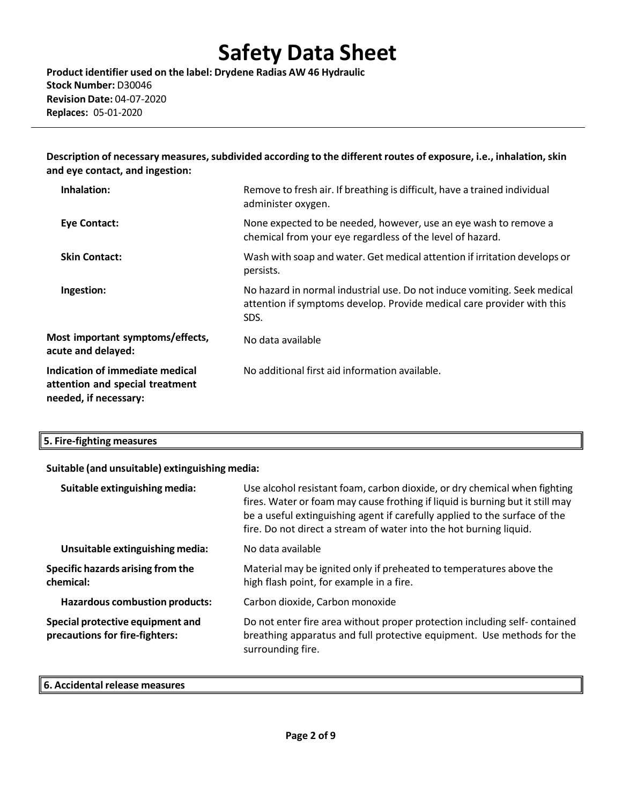**Product identifier used on the label: Drydene Radias AW 46 Hydraulic Stock Number:** D30046 **Revision Date:** 04-07-2020 **Replaces:** 05-01-2020

**Description of necessary measures,subdivided according to the different routes of exposure, i.e., inhalation,skin and eye contact, and ingestion:**

| Inhalation:                                                                                 | Remove to fresh air. If breathing is difficult, have a trained individual<br>administer oxygen.                                                            |
|---------------------------------------------------------------------------------------------|------------------------------------------------------------------------------------------------------------------------------------------------------------|
| <b>Eye Contact:</b>                                                                         | None expected to be needed, however, use an eye wash to remove a<br>chemical from your eye regardless of the level of hazard.                              |
| <b>Skin Contact:</b>                                                                        | Wash with soap and water. Get medical attention if irritation develops or<br>persists.                                                                     |
| Ingestion:                                                                                  | No hazard in normal industrial use. Do not induce vomiting. Seek medical<br>attention if symptoms develop. Provide medical care provider with this<br>SDS. |
| Most important symptoms/effects,<br>acute and delayed:                                      | No data available                                                                                                                                          |
| Indication of immediate medical<br>attention and special treatment<br>needed, if necessary: | No additional first aid information available.                                                                                                             |

| $\parallel$ 5. Fire-fighting measures |  |
|---------------------------------------|--|
|---------------------------------------|--|

### **Suitable (and unsuitable) extinguishing media:**

| Suitable extinguishing media:                                      | Use alcohol resistant foam, carbon dioxide, or dry chemical when fighting<br>fires. Water or foam may cause frothing if liquid is burning but it still may<br>be a useful extinguishing agent if carefully applied to the surface of the<br>fire. Do not direct a stream of water into the hot burning liquid. |
|--------------------------------------------------------------------|----------------------------------------------------------------------------------------------------------------------------------------------------------------------------------------------------------------------------------------------------------------------------------------------------------------|
| Unsuitable extinguishing media:                                    | No data available                                                                                                                                                                                                                                                                                              |
| Specific hazards arising from the<br>chemical:                     | Material may be ignited only if preheated to temperatures above the<br>high flash point, for example in a fire.                                                                                                                                                                                                |
| <b>Hazardous combustion products:</b>                              | Carbon dioxide, Carbon monoxide                                                                                                                                                                                                                                                                                |
| Special protective equipment and<br>precautions for fire-fighters: | Do not enter fire area without proper protection including self-contained<br>breathing apparatus and full protective equipment. Use methods for the<br>surrounding fire.                                                                                                                                       |

#### **6. Accidental release measures**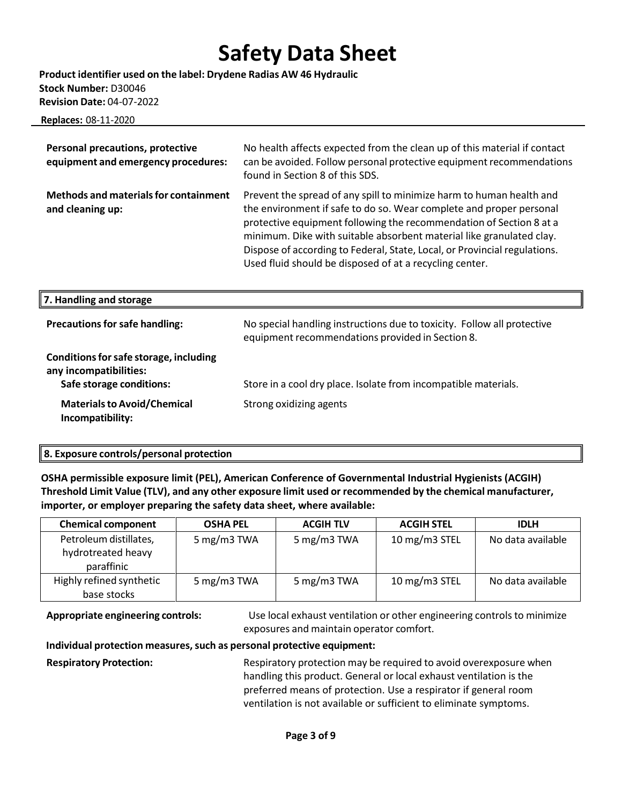**Product identifier used on the label: Drydene Radias AW 46 Hydraulic Stock Number:** D30046 **Revision Date:** 04-07-2022

 **Replaces:** 08-11-2020

| Personal precautions, protective<br>equipment and emergency procedures:                      | No health affects expected from the clean up of this material if contact<br>can be avoided. Follow personal protective equipment recommendations<br>found in Section 8 of this SDS.                                                                                                                                                                                                                                                |
|----------------------------------------------------------------------------------------------|------------------------------------------------------------------------------------------------------------------------------------------------------------------------------------------------------------------------------------------------------------------------------------------------------------------------------------------------------------------------------------------------------------------------------------|
| <b>Methods and materials for containment</b><br>and cleaning up:                             | Prevent the spread of any spill to minimize harm to human health and<br>the environment if safe to do so. Wear complete and proper personal<br>protective equipment following the recommendation of Section 8 at a<br>minimum. Dike with suitable absorbent material like granulated clay.<br>Dispose of according to Federal, State, Local, or Provincial regulations.<br>Used fluid should be disposed of at a recycling center. |
| 7. Handling and storage                                                                      |                                                                                                                                                                                                                                                                                                                                                                                                                                    |
| <b>Precautions for safe handling:</b>                                                        | No special handling instructions due to toxicity. Follow all protective<br>equipment recommendations provided in Section 8.                                                                                                                                                                                                                                                                                                        |
| Conditions for safe storage, including<br>any incompatibilities:<br>Safe storage conditions: | Store in a cool dry place. Isolate from incompatible materials.                                                                                                                                                                                                                                                                                                                                                                    |
|                                                                                              |                                                                                                                                                                                                                                                                                                                                                                                                                                    |

### **8. Exposure controls/personal protection**

**OSHA permissible exposure limit (PEL), American Conference of Governmental Industrial Hygienists (ACGIH) Threshold Limit Value (TLV), and any other exposure limit used or recommended by the chemical manufacturer, importer, or employer preparing the safety data sheet, where available:**

| <b>Chemical component</b>                                  | <b>OSHA PEL</b> | <b>ACGIH TLV</b> | <b>ACGIH STEL</b> | <b>IDLH</b>       |
|------------------------------------------------------------|-----------------|------------------|-------------------|-------------------|
| Petroleum distillates,<br>hydrotreated heavy<br>paraffinic | 5 mg/m3 TWA     | 5 mg/m3 TWA      | 10 mg/m3 STEL     | No data available |
| Highly refined synthetic<br>base stocks                    | 5 mg/m3 TWA     | 5 mg/m3 TWA      | 10 mg/m3 STEL     | No data available |

**Appropriate engineering controls:** Use local exhaust ventilation or other engineering controls to minimize exposures and maintain operator comfort.

### **Individual protection measures, such as personal protective equipment:**

**Respiratory Protection:** Respiratory protection may be required to avoid overexposure when handling this product. General or local exhaust ventilation is the preferred means of protection. Use a respirator if general room ventilation is not available or sufficient to eliminate symptoms.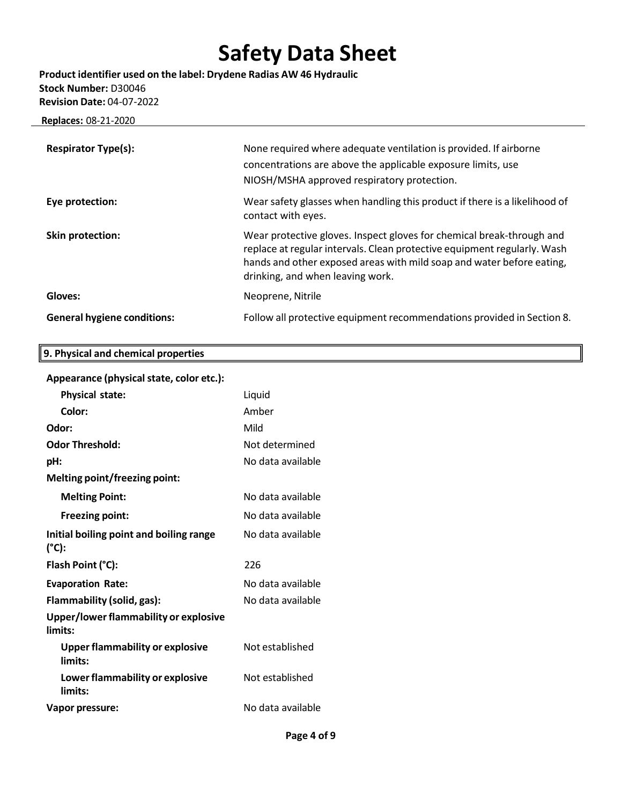**Product identifier used on the label: Drydene Radias AW 46 Hydraulic Stock Number:** D30046 **Revision Date:** 04-07-2022

 **Replaces:** 08-21-2020

| <b>Respirator Type(s):</b>         | None required where adequate ventilation is provided. If airborne<br>concentrations are above the applicable exposure limits, use<br>NIOSH/MSHA approved respiratory protection.                                                                               |
|------------------------------------|----------------------------------------------------------------------------------------------------------------------------------------------------------------------------------------------------------------------------------------------------------------|
| Eye protection:                    | Wear safety glasses when handling this product if there is a likelihood of<br>contact with eyes.                                                                                                                                                               |
| Skin protection:                   | Wear protective gloves. Inspect gloves for chemical break-through and<br>replace at regular intervals. Clean protective equipment regularly. Wash<br>hands and other exposed areas with mild soap and water before eating,<br>drinking, and when leaving work. |
| Gloves:                            | Neoprene, Nitrile                                                                                                                                                                                                                                              |
| <b>General hygiene conditions:</b> | Follow all protective equipment recommendations provided in Section 8.                                                                                                                                                                                         |

## **Appearance (physicalstate, color etc.):**

**9. Physical and chemical properties**

| <b>Physical state:</b>                            | Liquid            |
|---------------------------------------------------|-------------------|
| Color:                                            | Amber             |
| Odor:                                             | Mild              |
| <b>Odor Threshold:</b>                            | Not determined    |
| pH:                                               | No data available |
| <b>Melting point/freezing point:</b>              |                   |
| <b>Melting Point:</b>                             | No data available |
| <b>Freezing point:</b>                            | No data available |
| Initial boiling point and boiling range<br>(°C):  | No data available |
| Flash Point (°C):                                 | 226               |
| <b>Evaporation Rate:</b>                          | No data available |
| Flammability (solid, gas):                        | No data available |
| Upper/lower flammability or explosive<br>limits:  |                   |
| <b>Upper flammability or explosive</b><br>limits: | Not established   |
| Lower flammability or explosive<br>limits:        | Not established   |
| Vapor pressure:                                   | No data available |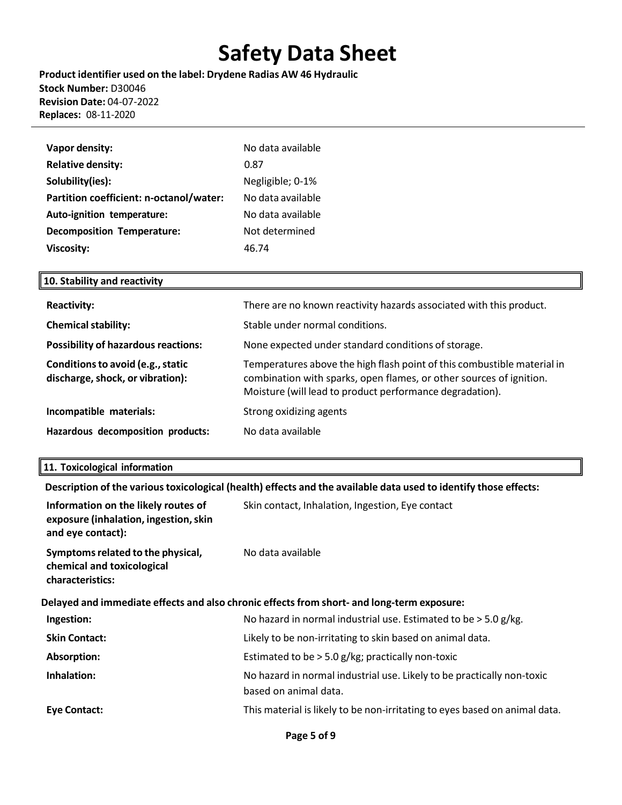**Product identifier used on the label: Drydene Radias AW 46 Hydraulic Stock Number:** D30046 **Revision Date:** 04-07-2022 **Replaces:** 08-11-2020

| Vapor density:                          | No data available |
|-----------------------------------------|-------------------|
| <b>Relative density:</b>                | 0.87              |
| Solubility(ies):                        | Negligible; 0-1%  |
| Partition coefficient: n-octanol/water: | No data available |
| Auto-ignition temperature:              | No data available |
| <b>Decomposition Temperature:</b>       | Not determined    |
| <b>Viscosity:</b>                       | 46.74             |

## **10. Stability and reactivity**

| <b>Reactivity:</b>                                                    | There are no known reactivity hazards associated with this product.                                                                                                                                        |
|-----------------------------------------------------------------------|------------------------------------------------------------------------------------------------------------------------------------------------------------------------------------------------------------|
| <b>Chemical stability:</b>                                            | Stable under normal conditions.                                                                                                                                                                            |
| <b>Possibility of hazardous reactions:</b>                            | None expected under standard conditions of storage.                                                                                                                                                        |
| Conditions to avoid (e.g., static<br>discharge, shock, or vibration): | Temperatures above the high flash point of this combustible material in<br>combination with sparks, open flames, or other sources of ignition.<br>Moisture (will lead to product performance degradation). |
| Incompatible materials:                                               | Strong oxidizing agents                                                                                                                                                                                    |
| Hazardous decomposition products:                                     | No data available                                                                                                                                                                                          |

## **11. Toxicological information**

**Description of the varioustoxicological (health) effects and the available data used to identify those effects:**

| Information on the likely routes of<br>exposure (inhalation, ingestion, skin<br>and eye contact): | Skin contact, Inhalation, Ingestion, Eye contact                                                |  |
|---------------------------------------------------------------------------------------------------|-------------------------------------------------------------------------------------------------|--|
| Symptoms related to the physical,<br>chemical and toxicological<br>characteristics:               | No data available                                                                               |  |
| Delayed and immediate effects and also chronic effects from short- and long-term exposure:        |                                                                                                 |  |
| Ingestion:                                                                                        | No hazard in normal industrial use. Estimated to be $>$ 5.0 g/kg.                               |  |
| <b>Skin Contact:</b>                                                                              | Likely to be non-irritating to skin based on animal data.                                       |  |
| Absorption:                                                                                       | Estimated to be $>$ 5.0 g/kg; practically non-toxic                                             |  |
| Inhalation:                                                                                       | No hazard in normal industrial use. Likely to be practically non-toxic<br>based on animal data. |  |
| Eye Contact:                                                                                      | This material is likely to be non-irritating to eyes based on animal data.                      |  |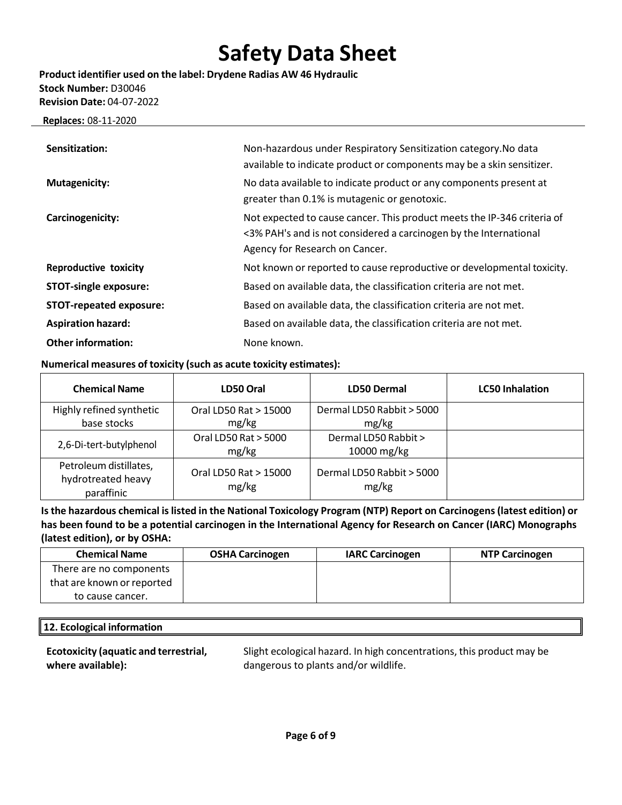**Product identifier used on the label: Drydene Radias AW 46 Hydraulic Stock Number:** D30046 **Revision Date:** 04-07-2022

 **Replaces:** 08-11-2020

| Sensitization:                 | Non-hazardous under Respiratory Sensitization category. No data<br>available to indicate product or components may be a skin sensitizer.                                       |
|--------------------------------|--------------------------------------------------------------------------------------------------------------------------------------------------------------------------------|
| <b>Mutagenicity:</b>           | No data available to indicate product or any components present at<br>greater than 0.1% is mutagenic or genotoxic.                                                             |
| Carcinogenicity:               | Not expected to cause cancer. This product meets the IP-346 criteria of<br><3% PAH's and is not considered a carcinogen by the International<br>Agency for Research on Cancer. |
| <b>Reproductive toxicity</b>   | Not known or reported to cause reproductive or developmental toxicity.                                                                                                         |
| <b>STOT-single exposure:</b>   | Based on available data, the classification criteria are not met.                                                                                                              |
| <b>STOT-repeated exposure:</b> | Based on available data, the classification criteria are not met.                                                                                                              |
| <b>Aspiration hazard:</b>      | Based on available data, the classification criteria are not met.                                                                                                              |
| <b>Other information:</b>      | None known.                                                                                                                                                                    |

### **Numerical measures of toxicity (such as acute toxicity estimates):**

| <b>Chemical Name</b>                                       | LD50 Oral                      | <b>LD50 Dermal</b>                 | <b>LC50 Inhalation</b> |
|------------------------------------------------------------|--------------------------------|------------------------------------|------------------------|
| Highly refined synthetic                                   | Oral LD50 Rat > 15000          | Dermal LD50 Rabbit > 5000          |                        |
| base stocks                                                | mg/kg                          | mg/kg                              |                        |
| 2,6-Di-tert-butylphenol                                    | Oral LD50 Rat > 5000           | Dermal LD50 Rabbit >               |                        |
|                                                            | mg/kg                          | 10000 mg/kg                        |                        |
| Petroleum distillates,<br>hydrotreated heavy<br>paraffinic | Oral LD50 Rat > 15000<br>mg/kg | Dermal LD50 Rabbit > 5000<br>mg/kg |                        |

**Isthe hazardous chemical islisted in the National Toxicology Program (NTP) Report on Carcinogens(latest edition) or has been found to be a potential carcinogen in the International Agency for Research on Cancer (IARC) Monographs (latest edition), or by OSHA:**

| <b>Chemical Name</b>       | <b>OSHA Carcinogen</b> | <b>IARC Carcinogen</b> | <b>NTP Carcinogen</b> |
|----------------------------|------------------------|------------------------|-----------------------|
| There are no components    |                        |                        |                       |
| that are known or reported |                        |                        |                       |
| to cause cancer.           |                        |                        |                       |

## **12. Ecological information**

**Ecotoxicity (aquatic and terrestrial, where available):**

Slight ecological hazard. In high concentrations, this product may be dangerous to plants and/or wildlife.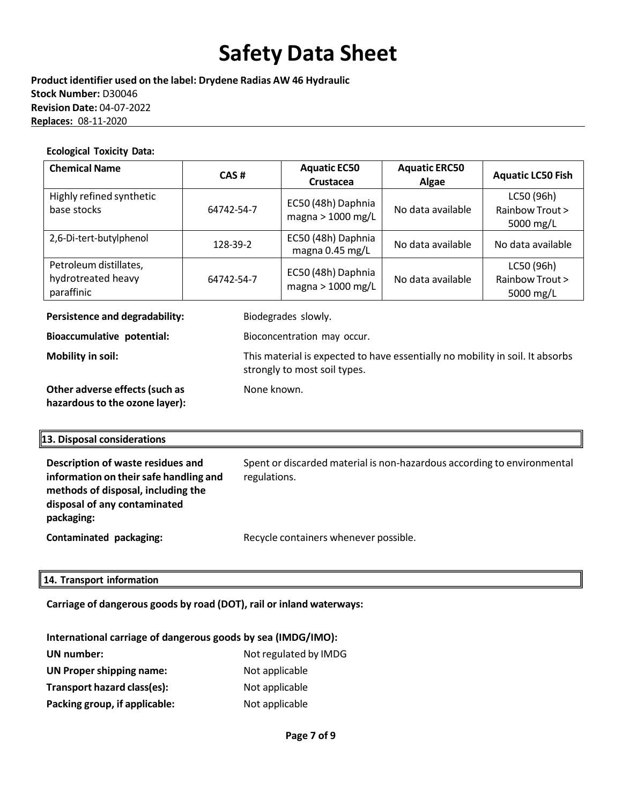**Product identifier used on the label: Drydene Radias AW 46 Hydraulic Stock Number:** D30046 **Revision Date:** 04-07-2022 **Replaces:** 08-11-2020

#### **Ecological Toxicity Data:**

| <b>Chemical Name</b>                                       | CAS#       | <b>Aquatic EC50</b><br><b>Crustacea</b> | <b>Aquatic ERC50</b><br>Algae | <b>Aquatic LC50 Fish</b>                   |
|------------------------------------------------------------|------------|-----------------------------------------|-------------------------------|--------------------------------------------|
| Highly refined synthetic<br>base stocks                    | 64742-54-7 | EC50 (48h) Daphnia<br>magna > 1000 mg/L | No data available             | LC50 (96h)<br>Rainbow Trout ><br>5000 mg/L |
| 2,6-Di-tert-butylphenol                                    | 128-39-2   | EC50 (48h) Daphnia<br>magna 0.45 mg/L   | No data available             | No data available                          |
| Petroleum distillates,<br>hydrotreated heavy<br>paraffinic | 64742-54-7 | EC50 (48h) Daphnia<br>magna > 1000 mg/L | No data available             | LC50 (96h)<br>Rainbow Trout ><br>5000 mg/L |

**Persistence and degradability:** Biodegrades slowly.

**Bioaccumulative potential:** Bioconcentration may occur.

None known.

**Mobility in soil:** This material is expected to have essentially no mobility in soil. It absorbs strongly to most soil types.

**Other adverse effects(such as hazardousto the ozone layer):**

## **13. Disposal considerations**

| Description of waste residues and<br>information on their safe handling and<br>methods of disposal, including the<br>disposal of any contaminated<br>packaging: | Spent or discarded material is non-hazardous according to environmental<br>regulations. |
|-----------------------------------------------------------------------------------------------------------------------------------------------------------------|-----------------------------------------------------------------------------------------|
| Contaminated packaging:                                                                                                                                         | Recycle containers whenever possible.                                                   |

### **14. Transport information**

**Carriage of dangerous goods by road (DOT), rail or inland waterways:**

| International carriage of dangerous goods by sea (IMDG/IMO): |                       |  |  |
|--------------------------------------------------------------|-----------------------|--|--|
| <b>UN</b> number:                                            | Not regulated by IMDG |  |  |
| UN Proper shipping name:                                     | Not applicable        |  |  |
| Transport hazard class(es):                                  | Not applicable        |  |  |
| Packing group, if applicable:                                | Not applicable        |  |  |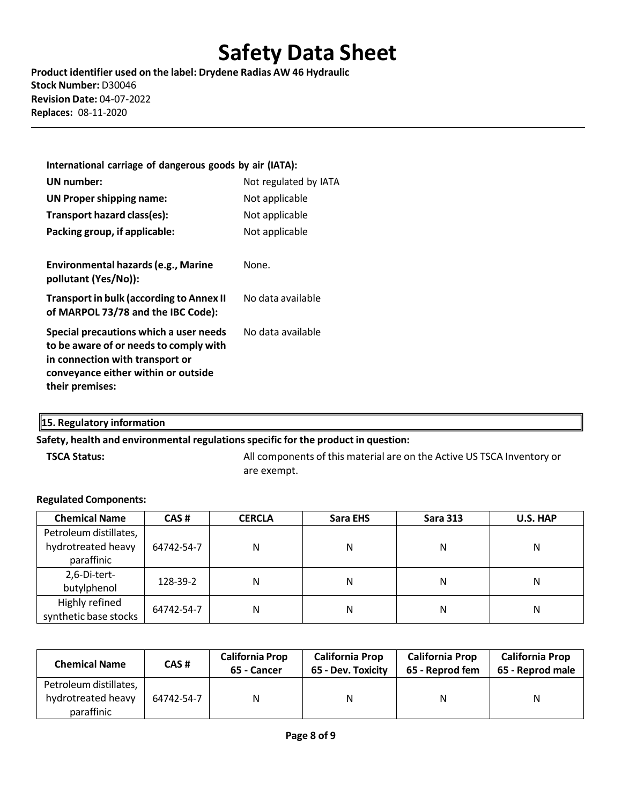**Product identifier used on the label: Drydene Radias AW 46 Hydraulic Stock Number:** D30046 **Revision Date:** 04-07-2022 **Replaces:** 08-11-2020

| International carriage of dangerous goods by air (IATA):                                                                                                                      |                       |
|-------------------------------------------------------------------------------------------------------------------------------------------------------------------------------|-----------------------|
| UN number:                                                                                                                                                                    | Not regulated by IATA |
| UN Proper shipping name:                                                                                                                                                      | Not applicable        |
| Transport hazard class(es):                                                                                                                                                   | Not applicable        |
| Packing group, if applicable:                                                                                                                                                 | Not applicable        |
|                                                                                                                                                                               |                       |
| Environmental hazards (e.g., Marine<br>pollutant (Yes/No)):                                                                                                                   | None.                 |
| <b>Transport in bulk (according to Annex II</b><br>of MARPOL 73/78 and the IBC Code):                                                                                         | No data available     |
| Special precautions which a user needs<br>to be aware of or needs to comply with<br>in connection with transport or<br>conveyance either within or outside<br>their premises: | No data available     |

## **15. Regulatory information**

### **Safety, health and environmental regulationsspecific for the product in question:**

**TSCA Status:** All components of this material are on the Active US TSCA Inventory or are exempt.

### **Regulated Components:**

| <b>Chemical Name</b>   | CAS#       | <b>CERCLA</b> | Sara EHS | <b>Sara 313</b> | <b>U.S. HAP</b> |  |
|------------------------|------------|---------------|----------|-----------------|-----------------|--|
| Petroleum distillates, |            |               |          |                 |                 |  |
| hydrotreated heavy     | 64742-54-7 | N             | Ν        | N               | Ν               |  |
| paraffinic             |            |               |          |                 |                 |  |
| 2,6-Di-tert-           |            |               | Ν        | Ν               |                 |  |
| butylphenol            | 128-39-2   | N             |          |                 | Ν               |  |
| Highly refined         | 64742-54-7 | N             | Ν        | Ν               | Ν               |  |
| synthetic base stocks  |            |               |          |                 |                 |  |

| <b>Chemical Name</b>   | CAS #      | <b>California Prop</b><br>65 - Cancer | <b>California Prop</b><br><b>California Prop</b><br>65 - Dev. Toxicity<br>65 - Reprod fem |   | <b>California Prop</b><br>65 - Reprod male |
|------------------------|------------|---------------------------------------|-------------------------------------------------------------------------------------------|---|--------------------------------------------|
| Petroleum distillates, |            |                                       |                                                                                           |   |                                            |
| hydrotreated heavy     | 64742-54-7 | Ν                                     | N                                                                                         | N | N                                          |
| paraffinic             |            |                                       |                                                                                           |   |                                            |